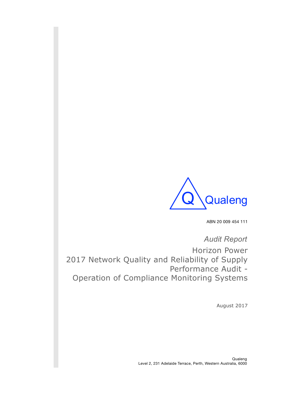

ABN 20 009 454 111

*Audit Report* Horizon Power 2017 Network Quality and Reliability of Supply Performance Audit - Operation of Compliance Monitoring Systems

August 2017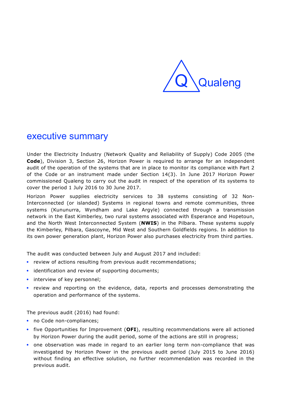

# executive summary

Under the Electricity Industry (Network Quality and Reliability of Supply) Code 2005 (the **Code**), Division 3, Section 26, Horizon Power is required to arrange for an independent audit of the operation of the systems that are in place to monitor its compliance with Part 2 of the Code or an instrument made under Section 14(3). In June 2017 Horizon Power commissioned Qualeng to carry out the audit in respect of the operation of its systems to cover the period 1 July 2016 to 30 June 2017.

Horizon Power supplies electricity services to 38 systems consisting of 32 Non-Interconnected (or islanded) Systems in regional towns and remote communities, three systems (Kununurra, Wyndham and Lake Argyle) connected through a transmission network in the East Kimberley, two rural systems associated with Esperance and Hopetoun, and the North West Interconnected System (**NWIS**) in the Pilbara. These systems supply the Kimberley, Pilbara, Gascoyne, Mid West and Southern Goldfields regions. In addition to its own power generation plant, Horizon Power also purchases electricity from third parties.

The audit was conducted between July and August 2017 and included:

- review of actions resulting from previous audit recommendations;
- identification and review of supporting documents;
- interview of key personnel;
- review and reporting on the evidence, data, reports and processes demonstrating the operation and performance of the systems.

The previous audit (2016) had found:

- no Code non-compliances;
- five Opportunities for Improvement (OFI), resulting recommendations were all actioned by Horizon Power during the audit period, some of the actions are still in progress;
- one observation was made in regard to an earlier long term non-compliance that was investigated by Horizon Power in the previous audit period (July 2015 to June 2016) without finding an effective solution, no further recommendation was recorded in the previous audit.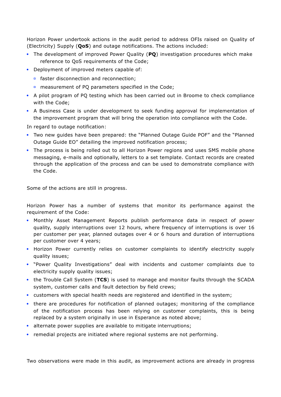Horizon Power undertook actions in the audit period to address OFIs raised on Quality of (Electricity) Supply (**QoS**) and outage notifications. The actions included:

- The development of improved Power Quality (**PQ**) investigation procedures which make reference to QoS requirements of the Code;
- Deployment of improved meters capable of:
	- **▫** faster disconnection and reconnection;
	- measurement of PQ parameters specified in the Code;
- A pilot program of PQ testing which has been carried out in Broome to check compliance with the Code;
- A Business Case is under development to seek funding approval for implementation of the improvement program that will bring the operation into compliance with the Code.

In regard to outage notification:

- Two new guides have been prepared: the "Planned Outage Guide POF" and the "Planned Outage Guide EO" detailing the improved notification process;
- The process is being rolled out to all Horizon Power regions and uses SMS mobile phone messaging, e-mails and optionally, letters to a set template. Contact records are created through the application of the process and can be used to demonstrate compliance with the Code.

Some of the actions are still in progress.

Horizon Power has a number of systems that monitor its performance against the requirement of the Code:

- Monthly Asset Management Reports publish performance data in respect of power quality, supply interruptions over 12 hours, where frequency of interruptions is over 16 per customer per year, planned outages over 4 or 6 hours and duration of interruptions per customer over 4 years;
- Horizon Power currently relies on customer complaints to identify electricity supply quality issues;
- "Power Quality Investigations" deal with incidents and customer complaints due to electricity supply quality issues;
- the Trouble Call System (**TCS**) is used to manage and monitor faults through the SCADA system, customer calls and fault detection by field crews;
- customers with special health needs are registered and identified in the system;
- there are procedures for notification of planned outages; monitoring of the compliance of the notification process has been relying on customer complaints, this is being replaced by a system originally in use in Esperance as noted above;
- alternate power supplies are available to mitigate interruptions;
- remedial projects are initiated where regional systems are not performing.

Two observations were made in this audit, as improvement actions are already in progress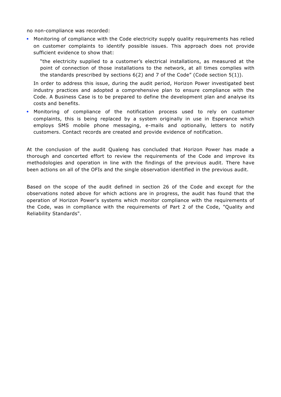no non-compliance was recorded:

 Monitoring of compliance with the Code electricity supply quality requirements has relied on customer complaints to identify possible issues. This approach does not provide sufficient evidence to show that:

"the electricity supplied to a customer's electrical installations, as measured at the point of connection of those installations to the network, at all times complies with the standards prescribed by sections  $6(2)$  and 7 of the Code" (Code section  $5(1)$ ).

In order to address this issue, during the audit period, Horizon Power investigated best industry practices and adopted a comprehensive plan to ensure compliance with the Code. A Business Case is to be prepared to define the development plan and analyse its costs and benefits.

 Monitoring of compliance of the notification process used to rely on customer complaints, this is being replaced by a system originally in use in Esperance which employs SMS mobile phone messaging, e-mails and optionally, letters to notify customers. Contact records are created and provide evidence of notification.

At the conclusion of the audit Qualeng has concluded that Horizon Power has made a thorough and concerted effort to review the requirements of the Code and improve its methodologies and operation in line with the findings of the previous audit. There have been actions on all of the OFIs and the single observation identified in the previous audit.

Based on the scope of the audit defined in section 26 of the Code and except for the observations noted above for which actions are in progress, the audit has found that the operation of Horizon Power's systems which monitor compliance with the requirements of the Code, was in compliance with the requirements of Part 2 of the Code, "Quality and Reliability Standards".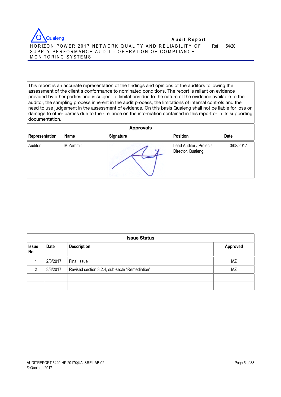

This report is an accurate representation of the findings and opinions of the auditors following the assessment of the client's conformance to nominated conditions. The report is reliant on evidence provided by other parties and is subject to limitations due to the nature of the evidence available to the auditor, the sampling process inherent in the audit process, the limitations of internal controls and the need to use judgement in the assessment of evidence. On this basis Qualeng shall not be liable for loss or damage to other parties due to their reliance on the information contained in this report or in its supporting documentation.

| <b>Approvals</b> |          |           |                                                    |           |  |  |
|------------------|----------|-----------|----------------------------------------------------|-----------|--|--|
| Representation   | Name     | Signature | <b>Position</b>                                    | Date      |  |  |
| Auditor:         | M Zammit |           | Lead Auditor / Projects<br>Director, Qualeng<br>۰. | 3/08/2017 |  |  |

|                    | <b>Issue Status</b> |                                                |          |  |  |
|--------------------|---------------------|------------------------------------------------|----------|--|--|
| <b>Issue</b><br>No | Date                | <b>Description</b>                             | Approved |  |  |
|                    | 2/8/2017            | <b>Final Issue</b>                             | ΜZ       |  |  |
| ∩                  | 3/8/2017            | Revised section 3.2.4, sub-sectn "Remediation" | ΜZ       |  |  |
|                    |                     |                                                |          |  |  |
|                    |                     |                                                |          |  |  |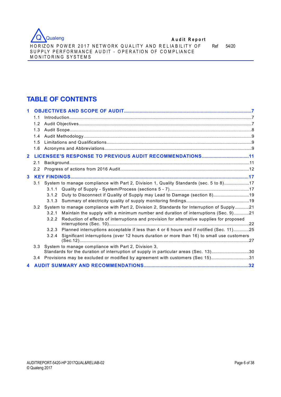

HORIZON POWER 2017 NETWORK QUALITY AND RELIABILITY OF SUPPLY PERFORMANCE AUDIT - OPERATION OF COMPLIANCE M O N ITO R IN G SYSTEM S

Ref 54/20

# **TABLE OF CONTENTS**

|              | 1.1 |       |                                                                                              |  |
|--------------|-----|-------|----------------------------------------------------------------------------------------------|--|
|              |     |       |                                                                                              |  |
|              | 1.3 |       |                                                                                              |  |
|              | 1.4 |       |                                                                                              |  |
|              | 1.5 |       |                                                                                              |  |
|              | 1.6 |       |                                                                                              |  |
| $\mathbf{2}$ |     |       |                                                                                              |  |
|              | 2.1 |       |                                                                                              |  |
|              | 2.2 |       |                                                                                              |  |
| 3            |     |       |                                                                                              |  |
|              | 3.1 |       | System to manage compliance with Part 2, Division 1, Quality Standards (sec. 5 to 8)17       |  |
|              |     |       |                                                                                              |  |
|              |     | 3.1.2 | Duty to Disconnect if Quality of Supply may Lead to Damage (section 8)19                     |  |
|              |     |       |                                                                                              |  |
|              | 3.2 |       | System to manage compliance with Part 2, Division 2, Standards for Interruption of Supply21  |  |
|              |     | 3.2.1 | Maintain the supply with a minimum number and duration of interruptions (Sec. 9)21           |  |
|              |     | 3.2.2 | Reduction of effects of interruptions and provision for alternative supplies for proposed    |  |
|              |     |       | 3.2.3 Planned interruptions acceptable if less than 4 or 6 hours and if notified (Sec. 11)25 |  |
|              |     | 3.2.4 | Significant interruptions (over 12 hours duration or more than 16) to small use customers    |  |
|              | 3.3 |       | System to manage compliance with Part 2, Division 3,                                         |  |
|              |     |       | Standards for the duration of interruption of supply in particular areas (Sec. 13)30         |  |
|              |     |       | 31.4 Provisions may be excluded or modified by agreement with customers (Sec 15)31           |  |
|              |     |       |                                                                                              |  |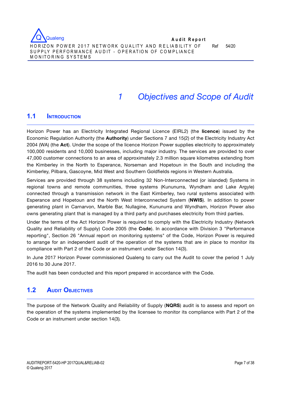

# *1 Objectives and Scope of Audit*

# **1.1 INTRODUCTION**

Horizon Power has an Electricity Integrated Regional Licence (EIRL2) (the **licence**) issued by the Economic Regulation Authority (the **Authority**) under Sections 7 and 15(2) of the Electricity Industry Act 2004 (WA) (the **Act**). Under the scope of the licence Horizon Power supplies electricity to approximately 100,000 residents and 10,000 businesses, including major industry. The services are provided to over 47,000 customer connections to an area of approximately 2.3 million square kilometres extending from the Kimberley in the North to Esperance, Norseman and Hopetoun in the South and including the Kimberley, Pilbara, Gascoyne, Mid West and Southern Goldfields regions in Western Australia.

Services are provided through 38 systems including 32 Non-Interconnected (or islanded) Systems in regional towns and remote communities, three systems (Kununurra, Wyndham and Lake Argyle) connected through a transmission network in the East Kimberley, two rural systems associated with Esperance and Hopetoun and the North West Interconnected System (**NWIS**). In addition to power generating plant in Carnarvon, Marble Bar, Nullagine, Kununurra and Wyndham, Horizon Power also owns generating plant that is managed by a third party and purchases electricity from third parties.

Under the terms of the Act Horizon Power is required to comply with the Electricity Industry (Network Quality and Reliability of Supply) Code 2005 (the **Code**). In accordance with Division 3 "Performance reporting", Section 26 "Annual report on monitoring systems" of the Code, Horizon Power is required to arrange for an independent audit of the operation of the systems that are in place to monitor its compliance with Part 2 of the Code or an instrument under Section 14(3).

In June 2017 Horizon Power commissioned Qualeng to carry out the Audit to cover the period 1 July 2016 to 30 June 2017.

The audit has been conducted and this report prepared in accordance with the Code.

# **1.2 AUDIT OBJECTIVES**

The purpose of the Network Quality and Reliability of Supply (**NQRS**) audit is to assess and report on the operation of the systems implemented by the licensee to monitor its compliance with Part 2 of the Code or an instrument under section 14(3)*.*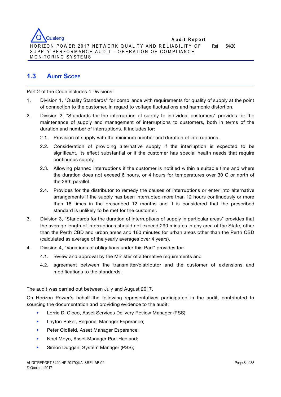

# **1.3 AUDIT SCOPE**

Part 2 of the Code includes 4 Divisions:

- 1. Division 1, "Quality Standards" for compliance with requirements for quality of supply at the point of connection to the customer, in regard to voltage fluctuations and harmonic distortion.
- 2. Division 2, "Standards for the interruption of supply to individual customers" provides for the maintenance of supply and management of interruptions to customers, both in terms of the duration and number of interruptions. It includes for:
	- 2.1. Provision of supply with the minimum number and duration of interruptions.
	- 2.2. Consideration of providing alternative supply if the interruption is expected to be significant, its effect substantial or if the customer has special health needs that require continuous supply.
	- 2.3. Allowing planned interruptions if the customer is notified within a suitable time and where the duration does not exceed 6 hours, or 4 hours for temperatures over 30 C or north of the 26th parallel.
	- 2.4. Provides for the distributor to remedy the causes of interruptions or enter into alternative arrangements if the supply has been interrupted more than 12 hours continuously or more than 16 times in the prescribed 12 months and it is considered that the prescribed standard is unlikely to be met for the customer.
- 3. Division 3, "Standards for the duration of interruptions of supply in particular areas" provides that the average length of interruptions should not exceed 290 minutes in any area of the State, other than the Perth CBD and urban areas and 160 minutes for urban areas other than the Perth CBD (calculated as average of the yearly averages over 4 years).
- 4. Division 4, "Variations of obligations under this Part" provides for:
	- 4.1. review and approval by the Minister of alternative requirements and
	- 4.2. agreement between the transmitter/distributor and the customer of extensions and modifications to the standards.

The audit was carried out between July and August 2017.

On Horizon Power's behalf the following representatives participated in the audit, contributed to sourcing the documentation and providing evidence to the audit:

- Lorrie Di Cicco, Asset Services Delivery Review Manager (PSS);
- Layton Baker, Regional Manager Esperance;
- Peter Oldfield, Asset Manager Esperance;
- Noel Moyo, Asset Manager Port Hedland;
- Simon Duggan, System Manager (PSS);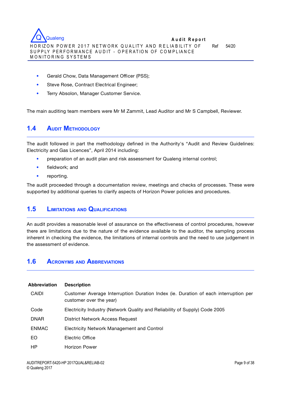- Gerald Chow, Data Management Officer (PSS);
- Steve Rose, Contract Electrical Engineer;
- Terry Absolon, Manager Customer Service.

The main auditing team members were Mr M Zammit, Lead Auditor and Mr S Campbell, Reviewer.

## **1.4 AUDIT METHODOLOGY**

The audit followed in part the methodology defined in the Authority's "Audit and Review Guidelines: Electricity and Gas Licences", April 2014 including:

- preparation of an audit plan and risk assessment for Qualeng internal control;
- fieldwork; and
- reporting.

The audit proceeded through a documentation review, meetings and checks of processes. These were supported by additional queries to clarify aspects of Horizon Power policies and procedures.

# **1.5 LIMITATIONS AND QUALIFICATIONS**

An audit provides a reasonable level of assurance on the effectiveness of control procedures, however there are limitations due to the nature of the evidence available to the auditor, the sampling process inherent in checking the evidence, the limitations of internal controls and the need to use judgement in the assessment of evidence.

## **1.6 ACRONYMS AND ABBREVIATIONS**

| <b>Description</b>                                                                                             |
|----------------------------------------------------------------------------------------------------------------|
| Customer Average Interruption Duration Index (ie. Duration of each interruption per<br>customer over the year) |
| Electricity Industry (Network Quality and Reliability of Supply) Code 2005                                     |
| District Network Access Request                                                                                |
| Electricity Network Management and Control                                                                     |
| Electric Office                                                                                                |
| Horizon Power                                                                                                  |
|                                                                                                                |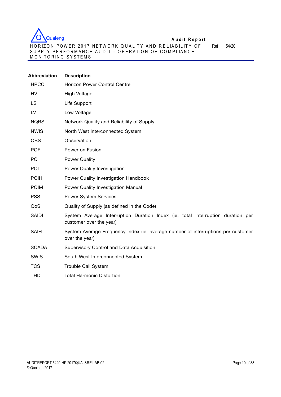

H O R IZO N PO W ER 2 0 1 7 NETW O RK Q U A LIT Y AN D R E L IA B IL IT Y OF SUPPLY PERFORMANCE AUDIT – OPERATION OF COMPLIANCE M O N ITO R IN G SYSTEM S

Ref 54/20

| <b>Description</b>                                                                                         |
|------------------------------------------------------------------------------------------------------------|
| <b>Horizon Power Control Centre</b>                                                                        |
| High Voltage                                                                                               |
| Life Support                                                                                               |
| Low Voltage                                                                                                |
| Network Quality and Reliability of Supply                                                                  |
| North West Interconnected System                                                                           |
| Observation                                                                                                |
| Power on Fusion                                                                                            |
| <b>Power Quality</b>                                                                                       |
| Power Quality Investigation                                                                                |
| Power Quality Investigation Handbook                                                                       |
| <b>Power Quality Investigation Manual</b>                                                                  |
| <b>Power System Services</b>                                                                               |
| Quality of Supply (as defined in the Code)                                                                 |
| System Average Interruption Duration Index (ie. total interruption duration per<br>customer over the year) |
| System Average Frequency Index (ie. average number of interruptions per customer<br>over the year)         |
| Supervisory Control and Data Acquisition                                                                   |
| South West Interconnected System                                                                           |
| Trouble Call System                                                                                        |
| <b>Total Harmonic Distortion</b>                                                                           |
|                                                                                                            |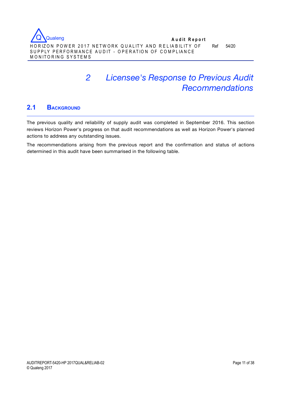**A u d it R eport** HORIZON POWER 2017 NETWORK QUALITY AND RELIABILITY OF SUPPLY PERFORMANCE AUDIT - OPERATION OF COMPLIANCE M O N ITO R IN G SYSTEM S Ref 54/20 **Qualeng** 

# *2 Licensee's Response to Previous Audit Recommendations*

# **2.1 BACKGROUND**

The previous quality and reliability of supply audit was completed in September 2016. This section reviews Horizon Power's progress on that audit recommendations as well as Horizon Power's planned actions to address any outstanding issues.

The recommendations arising from the previous report and the confirmation and status of actions determined in this audit have been summarised in the following table.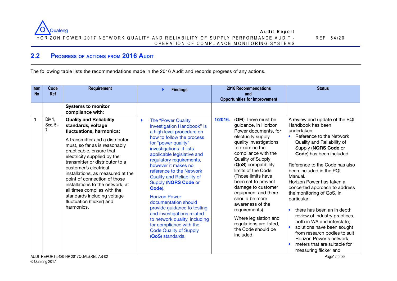

REF 5 4 /2 0

# **2.2 PROGRESS OF ACTIONS FROM 2016 AUDIT**

The following table lists the recommendations made in the 2016 Audit and records progress of any actions.

| Code<br><b>Requirement</b><br><b>Item</b><br><b>No</b><br><b>Ref</b>                                                                                                                                                                                                                                                                                                                                                                                                            | <b>Findings</b>                                                                                                                                                                                                                                                                                                                                                                                                                                                                                                                                           | 2016 Recommendations<br>and<br><b>Opportunities for Improvement</b>                                                                                                                                                                                                                                                                                                                                                      | <b>Status</b>                                                                                                                                                                                                                                                                                                                                                                                                                                                                                                                                                                                                                     |
|---------------------------------------------------------------------------------------------------------------------------------------------------------------------------------------------------------------------------------------------------------------------------------------------------------------------------------------------------------------------------------------------------------------------------------------------------------------------------------|-----------------------------------------------------------------------------------------------------------------------------------------------------------------------------------------------------------------------------------------------------------------------------------------------------------------------------------------------------------------------------------------------------------------------------------------------------------------------------------------------------------------------------------------------------------|--------------------------------------------------------------------------------------------------------------------------------------------------------------------------------------------------------------------------------------------------------------------------------------------------------------------------------------------------------------------------------------------------------------------------|-----------------------------------------------------------------------------------------------------------------------------------------------------------------------------------------------------------------------------------------------------------------------------------------------------------------------------------------------------------------------------------------------------------------------------------------------------------------------------------------------------------------------------------------------------------------------------------------------------------------------------------|
| <b>Systems to monitor</b><br>compliance with:<br>Div $1$ ,<br><b>Quality and Reliability</b><br>Sec. 5 -<br>standards, voltage                                                                                                                                                                                                                                                                                                                                                  | The "Power Quality<br>D                                                                                                                                                                                                                                                                                                                                                                                                                                                                                                                                   | 1/2016.<br>(OFI) There must be<br>guidance, in Horizon                                                                                                                                                                                                                                                                                                                                                                   | A review and update of the PQI<br>Handbook has been                                                                                                                                                                                                                                                                                                                                                                                                                                                                                                                                                                               |
| fluctuations, harmonics:<br>A transmitter and a distributor<br>must, so far as is reasonably<br>practicable, ensure that<br>electricity supplied by the<br>transmitter or distributor to a<br>customer's electrical<br>installations, as measured at the<br>point of connection of those<br>installations to the network, at<br>all times complies with the<br>standards including voltage<br>fluctuation (flicker) and<br>harmonics.<br>AUDITREPORT-5420-HP 2017QUAL&RELIAB-02 | Investigation Handbook" is<br>a high level procedure on<br>how to follow the process<br>for "power quality"<br>investigations. It lists<br>applicable legislative and<br>regulatory requirements,<br>however it makes no<br>reference to the Network<br><b>Quality and Reliability of</b><br>Supply (NQRS Code or<br>Code).<br><b>Horizon Power</b><br>documentation should<br>provide guidance to testing<br>and investigations related<br>to network quality, including<br>for compliance with the<br><b>Code Quality of Supply</b><br>(QoS) standards. | Power documents, for<br>electricity supply<br>quality investigations<br>to examine the<br>compliance with the<br>Quality of Supply<br>(QoS) compatibility<br>limits of the Code<br>(Those limits have<br>been set to prevent<br>damage to customer<br>equipment and there<br>should be more<br>awareness of the<br>requirements).<br>Where legislation and<br>regulations are listed,<br>the Code should be<br>included. | undertaken:<br>Reference to the Network<br>$\bullet$<br>Quality and Reliability of<br>Supply (NQRS Code or<br>Code) has been included.<br>Reference to the Code has also<br>been included in the PQI<br>Manual.<br>Horizon Power has taken a<br>concerted approach to address<br>the monitoring of QoS, in<br>particular:<br>there has been an in depth<br>$\bullet$<br>review of industry practices,<br>both in WA and interstate;<br>solutions have been sought<br>$\bullet$<br>from research bodies to suit<br>Horizon Power's network;<br>meters that are suitable for<br>$\bullet$<br>measuring flicker and<br>Page 12 of 38 |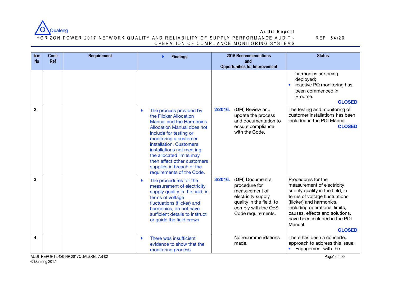

#### H O R IZON POW ER 2017 NETWORK QUALITY AND RELIABILITY OF SUPPLY PERFORMANCE AUDIT -OPERATION OF COMPLIANCE MONITORING SYSTEMS

| Item<br><b>No</b> | Code<br><b>Ref</b> | Requirement | <b>Findings</b>                                                                                                                                                                                                                                                                                                                                                | 2016 Recommendations<br>and<br><b>Opportunities for Improvement</b>                                                                                           | <b>Status</b>                                                                                                                                                                                                                                                                    |
|-------------------|--------------------|-------------|----------------------------------------------------------------------------------------------------------------------------------------------------------------------------------------------------------------------------------------------------------------------------------------------------------------------------------------------------------------|---------------------------------------------------------------------------------------------------------------------------------------------------------------|----------------------------------------------------------------------------------------------------------------------------------------------------------------------------------------------------------------------------------------------------------------------------------|
|                   |                    |             |                                                                                                                                                                                                                                                                                                                                                                |                                                                                                                                                               | harmonics are being<br>deployed;<br>reactive PQ monitoring has<br>been commenced in<br>Broome.<br><b>CLOSED</b>                                                                                                                                                                  |
| $\mathbf 2$       |                    |             | The process provided by<br>▶<br>the Flicker Allocation<br><b>Manual and the Harmonics</b><br><b>Allocation Manual does not</b><br>include for testing or<br>monitoring a customer<br>installation. Customers<br>installations not meeting<br>the allocated limits may<br>then affect other customers<br>supplies in breach of the<br>requirements of the Code. | 2/2016.<br>(OFI) Review and<br>update the process<br>and documentation to<br>ensure compliance<br>with the Code.                                              | The testing and monitoring of<br>customer installations has been<br>included in the PQI Manual.<br><b>CLOSED</b>                                                                                                                                                                 |
| 3                 |                    |             | The procedures for the<br>×.<br>measurement of electricity<br>supply quality in the field, in<br>terms of voltage<br>fluctuations (flicker) and<br>harmonics, do not have<br>sufficient details to instruct<br>or guide the field crews                                                                                                                        | 3/2016.<br>(OFI) Document a<br>procedure for<br>measurement of<br>electricity supply<br>quality in the field, to<br>comply with the QoS<br>Code requirements. | Procedures for the<br>measurement of electricity<br>supply quality in the field, in<br>terms of voltage fluctuations<br>(flicker) and harmonics,<br>including operational limits,<br>causes, effects and solutions,<br>have been included in the PQI<br>Manual.<br><b>CLOSED</b> |
| 4                 |                    |             | There was insufficient<br>evidence to show that the<br>monitoring process                                                                                                                                                                                                                                                                                      | No recommendations<br>made.                                                                                                                                   | There has been a concerted<br>approach to address this issue:<br>Engagement with the                                                                                                                                                                                             |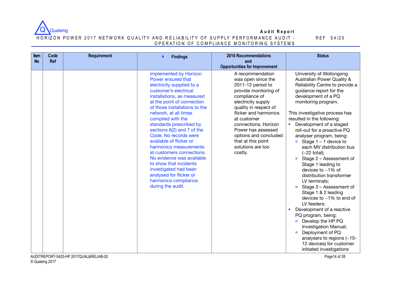

H O R IZON POW ER 2017 NETWORK QUALITY AND RELIABILITY OF SUPPLY PERFORMANCE AUDIT -OPERATION OF COMPLIANCE MONITORING SYSTEMS

| Item<br><b>No</b> | Code<br><b>Ref</b> | Requirement | <b>Findings</b>                                                                                                                                                                                                                                                                                                                                                                                                                                                                                                                                                            | <b>2016 Recommendations</b><br>and<br><b>Opportunities for Improvement</b>                                                                                                                                                                                                                                                | <b>Status</b>                                                                                                                                                                                                                                                                                                                                                                                                                                                                                                                                                                                                                                                                                                                                                                                                                                                                        |
|-------------------|--------------------|-------------|----------------------------------------------------------------------------------------------------------------------------------------------------------------------------------------------------------------------------------------------------------------------------------------------------------------------------------------------------------------------------------------------------------------------------------------------------------------------------------------------------------------------------------------------------------------------------|---------------------------------------------------------------------------------------------------------------------------------------------------------------------------------------------------------------------------------------------------------------------------------------------------------------------------|--------------------------------------------------------------------------------------------------------------------------------------------------------------------------------------------------------------------------------------------------------------------------------------------------------------------------------------------------------------------------------------------------------------------------------------------------------------------------------------------------------------------------------------------------------------------------------------------------------------------------------------------------------------------------------------------------------------------------------------------------------------------------------------------------------------------------------------------------------------------------------------|
|                   |                    |             | implemented by Horizon<br>Power ensured that<br>electricity supplied to a<br>customer's electrical<br>installations, as measured<br>at the point of connection<br>of those installations to the<br>network, at all times<br>complied with the<br>standards prescribed by<br>sections 6(2) and 7 of the<br>Code. No records were<br>available of flicker or<br>harmonics measurements<br>at customers connections.<br>No evidence was available<br>to show that incidents<br>investigated had been<br>analysed for flicker or<br>harmonics compliance.<br>during the audit. | A recommendation<br>was open since the<br>2011-12 period to<br>provide monitoring of<br>compliance of<br>electricity supply<br>quality in respect of<br>flicker and harmonics<br>at customer<br>connections. Horizon<br>Power has assessed<br>options and concluded<br>that at this point<br>solutions are too<br>costly. | University of Wollongong<br><b>Australian Power Quality &amp;</b><br>Reliability Centre to provide a<br>guidance report for the<br>development of a PQ<br>monitoring program.<br>This investigative process has<br>resulted in the following:<br>Development of a staged<br>roll-out for a proactive PQ<br>analyser program, being:<br>Stage $1 - 1$ device to<br>o,<br>each MV distribution bus<br>$(-22$ total);<br>Stage 2 - Assessment of<br>$\blacksquare$<br>Stage 1 leading to<br>devices to $~1\%$ of<br>distribution transformer<br>LV terminals:<br>Stage 3 - Assessment of<br>o<br>Stage 1 & 2 leading<br>devices to ~1% to end of<br>LV feeders;<br>Development of a reactive<br>$\bullet$<br>PQ program, being:<br>Develop the HP PQ<br>Investigation Manual;<br>Deployment of PQ<br>analysers to regions (~10-<br>12 devices) for customer<br>initiated investigations |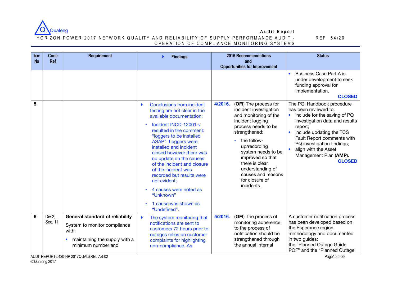

#### H O R IZON POW ER 2017 NETWORK QUALITY AND RELIABILITY OF SUPPLY PERFORMANCE AUDIT -OPERATION OF COMPLIANCE MONITORING SYSTEMS

| Item<br><b>No</b> | Code<br><b>Ref</b> | <b>Requirement</b>                                                                                                                     | <b>Findings</b>                                                                                                                                                                                                                                                                                                                                                                                                                     | 2016 Recommendations<br>and                                                                                                                                                                                                                                                      | <b>Status</b>                                                                                                                                                                                                                                                 |
|-------------------|--------------------|----------------------------------------------------------------------------------------------------------------------------------------|-------------------------------------------------------------------------------------------------------------------------------------------------------------------------------------------------------------------------------------------------------------------------------------------------------------------------------------------------------------------------------------------------------------------------------------|----------------------------------------------------------------------------------------------------------------------------------------------------------------------------------------------------------------------------------------------------------------------------------|---------------------------------------------------------------------------------------------------------------------------------------------------------------------------------------------------------------------------------------------------------------|
| 5                 |                    |                                                                                                                                        | <b>Conclusions from incident</b>                                                                                                                                                                                                                                                                                                                                                                                                    | <b>Opportunities for Improvement</b><br>(OFI) The process for<br>4/2016.                                                                                                                                                                                                         | Business Case Part A is<br>$\bullet$<br>under development to seek<br>funding approval for<br>implementation.<br><b>CLOSED</b><br>The PQI Handbook procedure                                                                                                   |
|                   |                    |                                                                                                                                        | testing are not clear in the<br>available documentation:<br>Incident INCD-12001-v<br>resulted in the comment:<br>"loggers to be installed<br>ASAP". Loggers were<br>installed and incident<br>closed however there was<br>no update on the causes<br>of the incident and closure<br>of the incident was<br>recorded but results were<br>not evident;<br>4 causes were noted as<br>"Unknown"<br>1 cause was shown as<br>"Undefined". | incident investigation<br>and monitoring of the<br>incident logging<br>process needs to be<br>strengthened:<br>the follow-<br>up/recording<br>system needs to be<br>improved so that<br>there is clear<br>understanding of<br>causes and reasons<br>for closure of<br>incidents. | has been reviewed to:<br>include for the saving of PQ<br>investigation data and results<br>report;<br>include updating the TCS<br>Fault Report comments with<br>PQ investigation findings;<br>align with the Asset<br>Management Plan (AMP).<br><b>CLOSED</b> |
| 6                 | Div 2,<br>Sec. 11  | <b>General standard of reliability</b><br>System to monitor compliance<br>with:<br>maintaining the supply with a<br>minimum number and | The system monitoring that<br>notifications are sent to<br>customers 72 hours prior to<br>outages relies on customer<br>complaints for highlighting<br>non-compliance. As                                                                                                                                                                                                                                                           | (OFI) The process of<br>5/2016.<br>monitoring adherence<br>to the process of<br>notification should be<br>strengthened through<br>the annual internal                                                                                                                            | A customer notification process<br>has been developed based on<br>the Esperance region<br>methodology and documented<br>in two guides:<br>the "Planned Outage Guide<br>POF" and the "Planned Outage                                                           |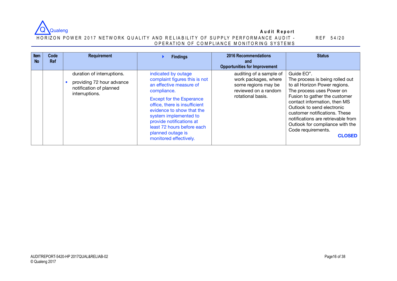

H O R IZON POW ER 2017 NETWORK QUALITY AND RELIABILITY OF SUPPLY PERFORMANCE AUDIT -OPERATION OF COMPLIANCE MONITORING SYSTEMS

| Item<br><b>No</b> | Code<br><b>Ref</b> | <b>Requirement</b>                                                                                   | <b>Findings</b>                                                                                                                                                                                                                                                                                                                   | 2016 Recommendations<br>and<br><b>Opportunities for Improvement</b>                                                 | <b>Status</b>                                                                                                                                                                                                                                                                                                                                               |
|-------------------|--------------------|------------------------------------------------------------------------------------------------------|-----------------------------------------------------------------------------------------------------------------------------------------------------------------------------------------------------------------------------------------------------------------------------------------------------------------------------------|---------------------------------------------------------------------------------------------------------------------|-------------------------------------------------------------------------------------------------------------------------------------------------------------------------------------------------------------------------------------------------------------------------------------------------------------------------------------------------------------|
|                   |                    | duration of interruptions.<br>providing 72 hour advance<br>notification of planned<br>interruptions. | indicated by outage<br>complaint figures this is not<br>an effective measure of<br>compliance.<br><b>Except for the Esperance</b><br>office, there is insufficient<br>evidence to show that the<br>system implemented to<br>provide notifications at<br>least 72 hours before each<br>planned outage is<br>monitored effectively. | auditing of a sample of<br>work packages, where<br>some regions may be<br>reviewed on a random<br>rotational basis. | Guide EO".<br>The process is being rolled out<br>to all Horizon Power regions.<br>The process uses Power on<br>Fusion to gather the customer<br>contact information, then MS<br>Outlook to send electronic<br>customer notifications. These<br>notifications are retrievable from<br>Outlook for compliance with the<br>Code requirements.<br><b>CLOSED</b> |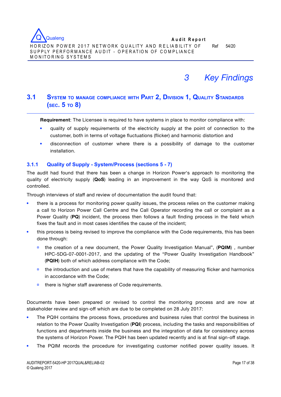

M O N ITO R IN G SYSTEM S



# **3.1 SYSTEM TO MANAGE COMPLIANCE WITH PART 2, DIVISION 1, QUALITY STANDARDS (SEC. 5 TO 8)**

**Requirement**: The Licensee is required to have systems in place to monitor compliance with:

- quality of supply requirements of the electricity supply at the point of connection to the customer, both in terms of voltage fluctuations (flicker) and harmonic distortion and
- disconnection of customer where there is a possibility of damage to the customer installation.

#### **3.1.1 Quality of Supply - System/Process (sections 5 - 7)**

The audit had found that there has been a change in Horizon Power's approach to monitoring the quality of electricity supply (**QoS**) leading in an improvement in the way QoS is monitored and controlled.

Through interviews of staff and review of documentation the audit found that:

- there is a process for monitoring power quality issues, the process relies on the customer making a call to Horizon Power Call Centre and the Call Operator recording the call or complaint as a Power Quality (**PQ**) incident, the process then follows a fault finding process in the field which fixes the fault and in most cases identifies the cause of the incident;
- this process is being revised to improve the compliance with the Code requirements, this has been done through:
	- **▫** the creation of a new document, the Power Quality Investigation Manual", (**PQIM**) , number HPC-5DG-07-0001-2017, and the updating of the "Power Quality Investigation Handbook" (**PQIH**) both of which address compliance with the Code;
	- **□** the introduction and use of meters that have the capability of measuring flicker and harmonics in accordance with the Code;
	- **▫** there is higher staff awareness of Code requirements.

Documents have been prepared or revised to control the monitoring process and are now at stakeholder review and sign-off which are due to be completed on 28 July 2017:

- The PQIH contains the process flows, procedures and business rules that control the business in relation to the Power Quality Investigation (**PQI**) process, including the tasks and responsibilities of functions and departments inside the business and the integration of data for consistency across the systems of Horizon Power. The PQIH has been updated recently and is at final sign-off stage.
- The PQIM records the procedure for investigating customer notified power quality issues. It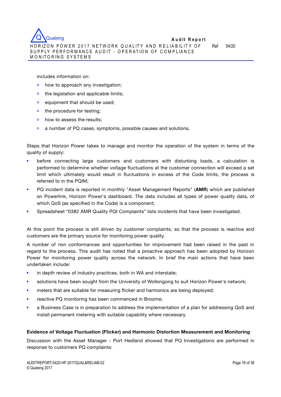includes information on:

- **▫** how to approach any investigation;
- **▫** the legislation and applicable limits;
- **▫** equipment that should be used;
- **▫** the procedure for testing;
- **<u>□</mark>** how to assess the results;</u>
- **▫** a number of PQ cases, symptoms, possible causes and solutions.

Steps that Horizon Power takes to manage and monitor the operation of the system in terms of the quality of supply:

- before connecting large customers and customers with disturbing loads, a calculation is performed to determine whether voltage fluctuations at the customer connection will exceed a set limit which ultimately would result in fluctuations in excess of the Code limits, the process is referred to in the PQIM;
- PQ incident data is reported in monthly "Asset Management Reports" (**AMR**) which are published on Powerlink, Horizon Power's dashboard. The data includes all types of power quality data, of which QoS (as specified in the Code) is a component;
- Spreadsheet "0382 AMR Quality PQI Complaints" lists incidents that have been investigated.

At this point the process is still driven by customer complaints, so that the process is reactive and customers are the primary source for monitoring power quality.

A number of non conformances and opportunities for improvement had been raised in the past in regard to the process. This audit has noted that a proactive approach has been adopted by Horizon Power for monitoring power quality across the network. In brief the main actions that have been undertaken include:

- in depth review of industry practices, both in WA and interstate;
- solutions have been sought from the University of Wollongong to suit Horizon Power's network;
- meters that are suitable for measuring flicker and harmonics are being deployed;
- reactive PQ monitoring has been commenced in Broome;
- a Business Case is in preparation to address the implementation of a plan for addressing QoS and install permanent metering with suitable capability where necessary.

#### **Evidence of Voltage Fluctuation (Flicker) and Harmonic Distortion Measurement and Monitoring**

Discussion with the Asset Manager - Port Hedland showed that PQ Investigations are performed in response to customers PQ complaints: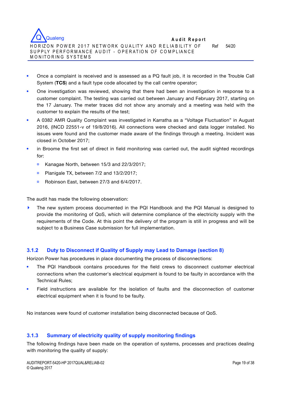

- Once a complaint is received and is assessed as a PQ fault job, it is recorded in the Trouble Call System (**TCS**) and a fault type code allocated by the call centre operator;
- One investigation was reviewed, showing that there had been an investigation in response to a customer complaint. The testing was carried out between January and February 2017, starting on the 17 January. The meter traces did not show any anomaly and a meeting was held with the customer to explain the results of the test;
- A 0382 AMR Quality Complaint was investigated in Karratha as a "Voltage Fluctuation" in August 2016, (INCD 22551-v of 19/8/2016). All connections were checked and data logger installed. No issues were found and the customer made aware of the findings through a meeting. Incident was closed in October 2017;
- in Broome the first set of direct in field monitoring was carried out, the audit sighted recordings for:
	- **▫** Kanagae North, between 15/3 and 22/3/2017;
	- **▫** Planigale TX, between 7/2 and 13/2/2017;
	- **▫** Robinson East, between 27/3 and 6/4/2017.

The audit has made the following observation:

**‣** The new system process documented in the PQI Handbook and the PQI Manual is designed to provide the monitoring of QoS, which will determine compliance of the electricity supply with the requirements of the Code. At this point the delivery of the program is still in progress and will be subject to a Business Case submission for full implementation.

## **3.1.2 Duty to Disconnect if Quality of Supply may Lead to Damage (section 8)**

Horizon Power has procedures in place documenting the process of disconnections:

- The PQI Handbook contains procedures for the field crews to disconnect customer electrical connections when the customer's electrical equipment is found to be faulty in accordance with the Technical Rules;
- Field instructions are available for the isolation of faults and the disconnection of customer electrical equipment when it is found to be faulty.

No instances were found of customer installation being disconnected because of QoS.

#### **3.1.3 Summary of electricity quality of supply monitoring findings**

The following findings have been made on the operation of systems, processes and practices dealing with monitoring the quality of supply: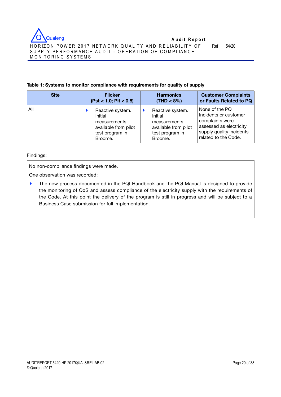#### **Table 1: Systems to monitor compliance with requirements for quality of supply**

| <b>Site</b> | <b>Flicker</b>         | <b>Harmonics</b>     | <b>Customer Complaints</b> |
|-------------|------------------------|----------------------|----------------------------|
|             | (Pst < 1.0; PIt < 0.8) | $(THD < 8\%)$        | or Faults Related to PQ    |
| All         | Reactive system.       | Reactive system.     | None of the PQ             |
|             | Initial                | Initial              | Incidents or customer      |
|             | measurements           | measurements         | complaints were            |
|             | available from pilot   | available from pilot | assessed as electricity    |
|             | test program in        | test program in      | supply quality incidents   |
|             | Broome.                | Broome.              | related to the Code.       |

#### Findings:

No non-compliance findings were made.

One observation was recorded:

**‣** The new process documented in the PQI Handbook and the PQI Manual is designed to provide the monitoring of QoS and assess compliance of the electricity supply with the requirements of the Code. At this point the delivery of the program is still in progress and will be subject to a Business Case submission for full implementation.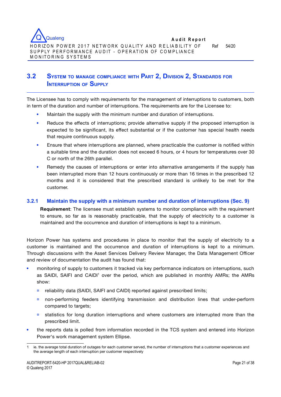

# **3.2 SYSTEM TO MANAGE COMPLIANCE WITH PART 2, DIVISION 2, STANDARDS FOR INTERRUPTION OF SUPPLY**

The Licensee has to comply with requirements for the management of interruptions to customers, both in term of the duration and number of interruptions. The requirements are for the Licensee to:

- Maintain the supply with the minimum number and duration of interruptions.
- Reduce the effects of interruptions; provide alternative supply if the proposed interruption is expected to be significant, its effect substantial or if the customer has special health needs that require continuous supply.
- Ensure that where interruptions are planned, where practicable the customer is notified within a suitable time and the duration does not exceed 6 hours, or 4 hours for temperatures over 30 C or north of the 26th parallel.
- Remedy the causes of interruptions or enter into alternative arrangements if the supply has been interrupted more than 12 hours continuously or more than 16 times in the prescribed 12 months and it is considered that the prescribed standard is unlikely to be met for the customer.

## **3.2.1 Maintain the supply with a minimum number and duration of interruptions (Sec. 9)**

**Requirement**: The licensee must establish systems to monitor compliance with the requirement to ensure, so far as is reasonably practicable, that the supply of electricity to a customer is maintained and the occurrence and duration of interruptions is kept to a minimum.

Horizon Power has systems and procedures in place to monitor that the supply of electricity to a customer is maintained and the occurrence and duration of interruptions is kept to a minimum. Through discussions with the Asset Services Delivery Review Manager, the Data Management Officer and review of documentation the audit has found that:

- monitoring of supply to customers it tracked via key performance indicators on interruptions, such as SAIDI, SAIFI and CAIDI<sup>1</sup> over the period, which are published in monthly AMRs; the AMRs show:
	- **▫** reliability data (SAIDI, SAIFI and CAIDI) reported against prescribed limits;
	- **▫** non-performing feeders identifying transmission and distribution lines that under-perform compared to targets;
	- **▫** statistics for long duration interruptions and where customers are interrupted more than the prescribed limit.
- the reports data is polled from information recorded in the TCS system and entered into Horizon Power's work management system Ellipse.

<sup>1</sup> ie. the average total duration of outages for each customer served, the number of interruptions that a customer experiences and the average length of each interruption per customer respectively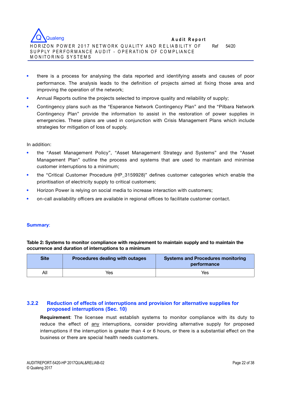

H O RIZON POWER 2017 NETWORK QUALITY AND RELIABILITY OF SUPPLY PERFORMANCE AUDIT - OPERATION OF COMPLIANCE MONITORING SYSTEMS Ref 54/20

- there is a process for analysing the data reported and identifying assets and causes of poor performance. The analysis leads to the definition of projects aimed at fixing those area and improving the operation of the network;
- Annual Reports outline the projects selected to improve quality and reliability of supply;
- Contingency plans such as the "Esperance Network Contingency Plan" and the "Pilbara Network Contingency Plan" provide the information to assist in the restoration of power supplies in emergencies. These plans are used in conjunction with Crisis Management Plans which include strategies for mitigation of loss of supply.

In addition:

- the "Asset Management Policy", "Asset Management Strategy and Systems" and the "Asset Management Plan" outline the process and systems that are used to maintain and minimise customer interruptions to a minimum;
- the "Critical Customer Procedure (HP\_3159928)" defines customer categories which enable the prioritisation of electricity supply to critical customers;
- Horizon Power is relying on social media to increase interaction with customers;
- on-call availability officers are available in regional offices to facilitate customer contact.

#### **Summary**:

**Table 2: Systems to monitor compliance with requirement to maintain supply and to maintain the occurrence and duration of interruptions to a minimum**

| Site | <b>Procedures dealing with outages</b> | <b>Systems and Procedures monitoring</b><br>performance |
|------|----------------------------------------|---------------------------------------------------------|
| All  | Yes                                    | Yes                                                     |

## **3.2.2 Reduction of effects of interruptions and provision for alternative supplies for proposed interruptions (Sec. 10)**

**Requirement**: The licensee must establish systems to monitor compliance with its duty to reduce the effect of any interruptions, consider providing alternative supply for proposed interruptions if the interruption is greater than 4 or 6 hours, or there is a substantial effect on the business or there are special health needs customers.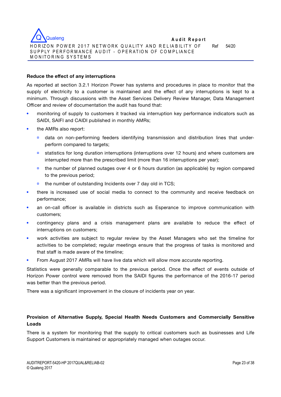

H O RIZON POWER 2017 NETWORK QUALITY AND RELIABILITY OF SUPPLY PERFORMANCE AUDIT - OPERATION OF COMPLIANCE M O N ITO R IN G SYSTEM S Ref 54/20

#### **Reduce the effect of any interruptions**

As reported at section 3.2.1 Horizon Power has systems and procedures in place to monitor that the supply of electricity to a customer is maintained and the effect of any interruptions is kept to a minimum. Through discussions with the Asset Services Delivery Review Manager, Data Management Officer and review of documentation the audit has found that:

- monitoring of supply to customers it tracked via interruption key performance indicators such as SAIDI, SAIFI and CAIDI published in monthly AMRs;
- the AMRs also report:
	- **▫** data on non-performing feeders identifying transmission and distribution lines that underperform compared to targets:
	- **□** statistics for long duration interruptions (interruptions over 12 hours) and where customers are interrupted more than the prescribed limit (more than 16 interruptions per year);
	- **▫** the number of planned outages over 4 or 6 hours duration (as applicable) by region compared to the previous period;
	- the number of outstanding Incidents over 7 day old in TCS;
- there is increased use of social media to connect to the community and receive feedback on performance;
- an on-call officer is available in districts such as Esperance to improve communication with customers;
- contingency plans and a crisis management plans are available to reduce the effect of interruptions on customers;
- work activities are subject to regular review by the Asset Managers who set the timeline for activities to be completed; regular meetings ensure that the progress of tasks is monitored and that staff is made aware of the timeline;
- From August 2017 AMRs will have live data which will allow more accurate reporting.

Statistics were generally comparable to the previous period. Once the effect of events outside of Horizon Power control were removed from the SAIDI figures the performance of the 2016-17 period was better than the previous period.

There was a significant improvement in the closure of incidents year on year.

### **Provision of Alternative Supply, Special Health Needs Customers and Commercially Sensitive Loads**

There is a system for monitoring that the supply to critical customers such as businesses and Life Support Customers is maintained or appropriately managed when outages occur.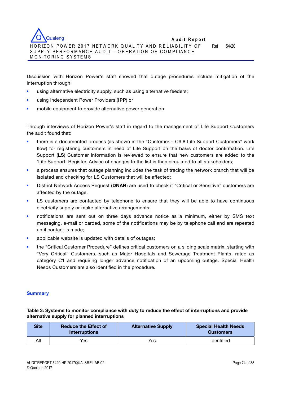Discussion with Horizon Power's staff showed that outage procedures include mitigation of the interruption through:

- using alternative electricity supply, such as using alternative feeders;
- using Independent Power Providers (**IPP**) or
- mobile equipment to provide alternative power generation.

Through interviews of Horizon Power's staff in regard to the management of Life Support Customers the audit found that:

- there is a documented process (as shown in the "Customer C9.8 Life Support Customers" work flow) for registering customers in need of Life Support on the basis of doctor confirmation. Life Support (**LS**) Customer information is reviewed to ensure that new customers are added to the 'Life Support' Register. Advice of changes to the list is then circulated to all stakeholders;
- a process ensures that outage planning includes the task of tracing the network branch that will be isolated and checking for LS Customers that will be affected;
- District Network Access Request (**DNAR**) are used to check if "Critical or Sensitive" customers are affected by the outage.
- LS customers are contacted by telephone to ensure that they will be able to have continuous electricity supply or make alternative arrangements;
- notifications are sent out on three days advance notice as a minimum, either by SMS text messaging, e-mail or carded, some of the notifications may be by telephone call and are repeated until contact is made;
- applicable website is updated with details of outages;
- the "Critical Customer Procedure" defines critical customers on a sliding scale matrix, starting with "Very Critical" Customers, such as Major Hospitals and Sewerage Treatment Plants, rated as category C1 and requiring longer advance notification of an upcoming outage. Special Health Needs Customers are also identified in the procedure.

#### **Summary**

#### **Table 3: Systems to monitor compliance with duty to reduce the effect of interruptions and provide alternative supply for planned interruptions**

| <b>Site</b> | <b>Reduce the Effect of</b><br><b>Interruptions</b> | <b>Alternative Supply</b> | <b>Special Health Needs</b><br><b>Customers</b> |
|-------------|-----------------------------------------------------|---------------------------|-------------------------------------------------|
| All         | Yes                                                 | Yes                       | Identified                                      |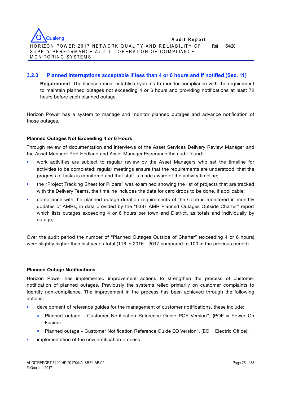

#### **3.2.3 Planned interruptions acceptable if less than 4 or 6 hours and if notified (Sec. 11)**

**Requirement**: The licensee must establish systems to monitor compliance with the requirement to maintain planned outages not exceeding 4 or 6 hours and providing notifications at least 72 hours before each planned outage.

Horizon Power has a system to manage and monitor planned outages and advance notification of those outages.

#### **Planned Outages Not Exceeding 4 or 6 Hours**

Through review of documentation and interviews of the Asset Services Delivery Review Manager and the Asset Manager Port Hedland and Asset Manager Esperance the audit found:

- work activities are subject to regular review by the Asset Managers who set the timeline for activities to be completed; regular meetings ensure that the requirements are understood, that the progress of tasks is monitored and that staff is made aware of the activity timeline;
- the "Project Tracking Sheet for Pilbara" was examined showing the list of projects that are tracked with the Delivery Teams, the timeline includes the date for card drops to be done, if applicable;
- compliance with the planned outage duration requirements of the Code is monitored in monthly updates of AMRs, in data provided by the "0387 AMR Planned Outages Outside Charter" report which lists outages exceeding 4 or 6 hours per town and District, as totals and individually by outage;

Over the audit period the number of "Planned Outages Outside of Charter" (exceeding 4 or 6 hours) were slightly higher than last year's total (116 in 2016 - 2017 compared to 100 in the previous period).

#### **Planned Outage Notifications**

Horizon Power has implemented improvement actions to strengthen the process of customer notification of planned outages. Previously the systems relied primarily on customer complaints to identify non-compliance. The improvement in the process has been achieved through the following actions:

- development of reference guides for the management of customer notifications, these include:
	- **▫** Planned outage Customer Notification Reference Guide POF Version", (POF = Power On Fusion)
	- **▫** Planned outage Customer Notification Reference Guide EO Version", (EO = Electric Office);
- implementation of the new notification process.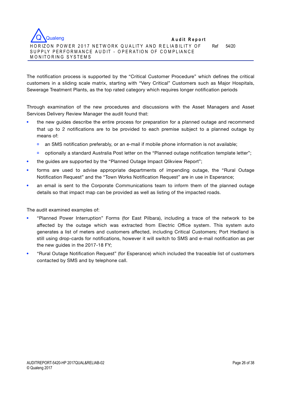The notification process is supported by the "Critical Customer Procedure" which defines the critical customers in a sliding scale matrix, starting with "Very Critical" Customers such as Major Hospitals, Sewerage Treatment Plants, as the top rated category which requires longer notification periods

Through examination of the new procedures and discussions with the Asset Managers and Asset Services Delivery Review Manager the audit found that:

- the new guides describe the entire process for preparation for a planned outage and recommend that up to 2 notifications are to be provided to each premise subject to a planned outage by means of:
	- □ an SMS notification preferably, or an e-mail if mobile phone information is not available;
	- **▫** optionally a standard Australia Post letter on the "Planned outage notification template letter";
- the guides are supported by the "Planned Outage Impact Qlikview Report";
- forms are used to advise appropriate departments of impending outage, the "Rural Outage Notification Request" and the "Town Works Notification Request" are in use in Esperance;
- an email is sent to the Corporate Communications team to inform them of the planned outage details so that impact map can be provided as well as listing of the impacted roads.

The audit examined examples of:

- "Planned Power Interruption" Forms (for East Pilbara), including a trace of the network to be affected by the outage which was extracted from Electric Office system. This system auto generates a list of meters and customers affected, including Critical Customers; Port Hedland is still using drop-cards for notifications, however it will switch to SMS and e-mail notification as per the new guides in the 2017-18 FY;
- "Rural Outage Notification Request" (for Esperance) which included the traceable list of customers contacted by SMS and by telephone call.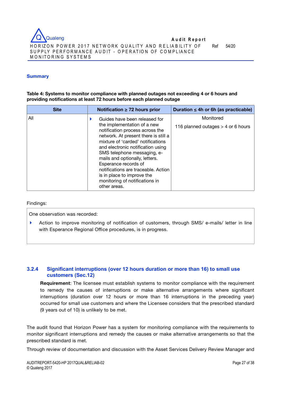

HORIZON POWER 2017 NETWORK QUALITY AND RELIABILITY OF SUPPLY PERFORMANCE AUDIT - OPERATION OF COMPLIANCE M O N ITO R IN G SYSTEM S

#### **Summary**

**Table 4: Systems to monitor compliance with planned outages not exceeding 4 or 6 hours and providing notifications at least 72 hours before each planned outage**

| <b>Site</b> | Notification $\geq$ 72 hours prior                                                                                                                                                                                                                                                                                                                                                                                                | Duration $\leq$ 4h or 6h (as practicable)       |
|-------------|-----------------------------------------------------------------------------------------------------------------------------------------------------------------------------------------------------------------------------------------------------------------------------------------------------------------------------------------------------------------------------------------------------------------------------------|-------------------------------------------------|
| All         | Guides have been released for<br>the implementation of a new<br>notification process across the<br>network. At present there is still a<br>mixture of 'carded' notifications<br>and electronic notification using<br>SMS telephone messaging, e-<br>mails and optionally, letters.<br>Esperance records of<br>notifications are traceable. Action<br>is in place to improve the<br>monitoring of notifications in<br>other areas. | Monitored<br>116 planned outages > 4 or 6 hours |

#### Findings:

One observation was recorded:

Action to improve monitoring of notification of customers, through SMS/ e-mails/ letter in line with Esperance Regional Office procedures, is in progress.

### **3.2.4 Significant interruptions (over 12 hours duration or more than 16) to small use customers (Sec.12)**

**Requirement**: The licensee must establish systems to monitor compliance with the requirement to remedy the causes of interruptions or make alternative arrangements where significant interruptions (duration over 12 hours or more than 16 interruptions in the preceding year) occurred for small use customers and where the Licensee considers that the prescribed standard (9 years out of 10) is unlikely to be met.

The audit found that Horizon Power has a system for monitoring compliance with the requirements to monitor significant interruptions and remedy the causes or make alternative arrangements so that the prescribed standard is met.

Through review of documentation and discussion with the Asset Services Delivery Review Manager and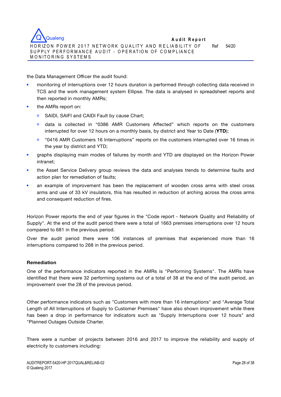Ref 54/20

the Data Management Officer the audit found:

- monitoring of interruptions over 12 hours duration is performed through collecting data received in TCS and the work management system Ellipse. The data is analysed in spreadsheet reports and then reported in monthly AMRs;
- the AMRs report on:
	- **▫** SAIDI, SAIFI and CAIDI Fault by cause Chart;
	- **▫** data is collected in "0386 AMR Customers Affected" which reports on the customers interrupted for over 12 hours on a monthly basis, by district and Year to Date (**YTD**);
	- **▫** "0416 AMR Customers 16 Interruptions" reports on the customers interrupted over 16 times in the year by district and YTD;
- graphs displaying main modes of failures by month and YTD are displayed on the Horizon Power intranet;
- the Asset Service Delivery group reviews the data and analyses trends to determine faults and action plan for remediation of faults;
- an example of improvement has been the replacement of wooden cross arms with steel cross arms and use of 33 kV insulators, this has resulted in reduction of arching across the cross arms and consequent reduction of fires.

Horizon Power reports the end of year figures in the "Code report - Network Quality and Reliability of Supply". At the end of the audit period there were a total of 1663 premises interruptions over 12 hours compared to 681 in the previous period.

Over the audit period there were 106 instances of premises that experienced more than 16 interruptions compared to 268 in the previous period.

#### **Remediation**

One of the performance indicators reported in the AMRs is "Performing Systems". The AMRs have identified that there were 32 performing systems out of a total of 38 at the end of the audit period, an improvement over the 28 of the previous period.

Other performance indicators such as "Customers with more than 16 interruptions" and "Average Total Length of All Interruptions of Supply to Customer Premises" have also shown improvement while there has been a drop in performance for indicators such as "Supply Interruptions over 12 hours" and "Planned Outages Outside Charter.

There were a number of projects between 2016 and 2017 to improve the reliability and supply of electricity to customers including: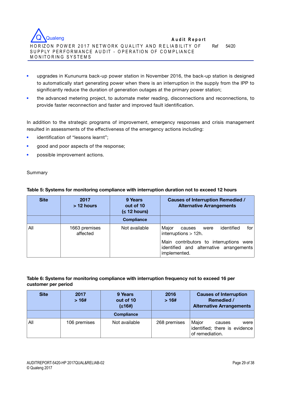

- upgrades in Kununurra back-up power station in November 2016, the back-up station is designed to automatically start generating power when there is an interruption in the supply from the IPP to significantly reduce the duration of generation outages at the primary power station;
- the advanced metering project, to automate meter reading, disconnections and reconnections, to provide faster reconnection and faster and improved fault identification.

In addition to the strategic programs of improvement, emergency responses and crisis management resulted in assessments of the effectiveness of the emergency actions including:

- identification of "lessons learnt";
- good and poor aspects of the response;
- possible improvement actions.

#### Summary

| <b>Site</b> | 2017<br>> 12 hours        | 9 Years<br>out of 10<br>$(12 \text{ hours})$ | <b>Causes of Interruption Remedied /</b><br><b>Alternative Arrangements</b>                        |  |
|-------------|---------------------------|----------------------------------------------|----------------------------------------------------------------------------------------------------|--|
|             |                           | <b>Compliance</b>                            |                                                                                                    |  |
| All         | 1663 premises<br>affected | Not available                                | Major<br>for l<br>identified<br>causes<br>were<br>interruptions $> 12h$ .                          |  |
|             |                           |                                              | Main contributors to interruptions were<br>identified and alternative arrangements<br>implemented. |  |

#### **Table 5: Systems for monitoring compliance with interruption duration not to exceed 12 hours**

#### **Table 6: Systems for monitoring compliance with interruption frequency not to exceed 16 per customer per period**

| <b>Site</b> | 2017<br>>16# | 9 Years<br>out of 10<br>(≤16#) | 2016<br>>16# | <b>Causes of Interruption</b><br>Remedied /<br><b>Alternative Arrangements</b> |  |
|-------------|--------------|--------------------------------|--------------|--------------------------------------------------------------------------------|--|
|             |              | <b>Compliance</b>              |              |                                                                                |  |
| All         | 106 premises | Not available                  | 268 premises | Major<br>were<br>causes<br>identified; there is evidence<br>of remediation.    |  |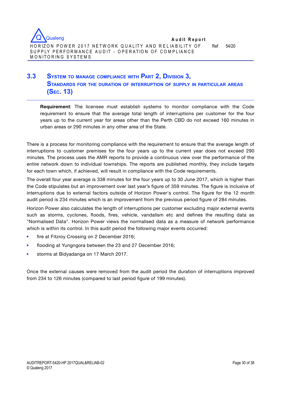

# **3.3 SYSTEM TO MANAGE COMPLIANCE WITH PART 2, DIVISION 3, STANDARDS FOR THE DURATION OF INTERRUPTION OF SUPPLY IN PARTICULAR AREAS (SEC. 13)**

**Requirement**: The licensee must establish systems to monitor compliance with the Code requirement to ensure that the average total length of interruptions per customer for the four years up to the current year for areas other than the Perth CBD do not exceed 160 minutes in urban areas or 290 minutes in any other area of the State.

There is a process for monitoring compliance with the requirement to ensure that the average length of interruptions to customer premises for the four years up to the current year does not exceed 290 minutes. The process uses the AMR reports to provide a continuous view over the performance of the entire network down to individual townships. The reports are published monthly, they include targets for each town which, if achieved, will result in compliance with the Code requirements.

The overall four year average is 338 minutes for the four years up to 30 June 2017, which is higher than the Code stipulates but an improvement over last year's figure of 359 minutes. The figure is inclusive of interruptions due to external factors outside of Horizon Power's control. The figure for the 12 month audit period is 234 minutes which is an improvement from the previous period figure of 284 minutes.

Horizon Power also calculates the length of interruptions per customer excluding major external events such as storms, cyclones, floods, fires, vehicle, vandalism etc and defines the resulting data as "Normalised Data". Horizon Power views the normalised data as a measure of network performance which is within its control. In this audit period the following major events occurred:

- fire at Fitzroy Crossing on 2 December 2016:
- flooding at Yungngora between the 23 and 27 December 2016;
- storms at Bidyadanga on 17 March 2017.

Once the external causes were removed from the audit period the duration of interruptions improved from 234 to 126 minutes (compared to last period figure of 199 minutes).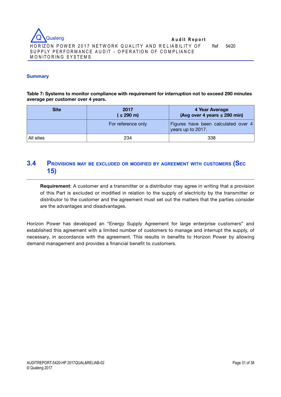

M O N ITO R IN G SYSTEM S

#### **Summary**

**Table 7: Systems to monitor compliance with requirement for interruption not to exceed 290 minutes average per customer over 4 years.**

| <b>Site</b> | 2017<br>$( \leq 290 \text{ m})$ | 4 Year Average<br>(Avg over 4 years $\leq$ 290 min)      |  |  |
|-------------|---------------------------------|----------------------------------------------------------|--|--|
|             | For reference only              | Figures have been calculated over 4<br>years up to 2017. |  |  |
| All sites   | 234                             | 338                                                      |  |  |

# **3.4 PROVISIONS MAY BE EXCLUDED OR MODIFIED BY AGREEMENT WITH CUSTOMERS (SEC 15)**

**Requirement**: A customer and a transmitter or a distributor may agree in writing that a provision of this Part is excluded or modified in relation to the supply of electricity by the transmitter or distributor to the customer and the agreement must set out the matters that the parties consider are the advantages and disadvantages.

Horizon Power has developed an "Energy Supply Agreement for large enterprise customers" and established this agreement with a limited number of customers to manage and interrupt the supply, of necessary, in accordance with the agreement. This results in benefits to Horizon Power by allowing demand management and provides a financial benefit to customers.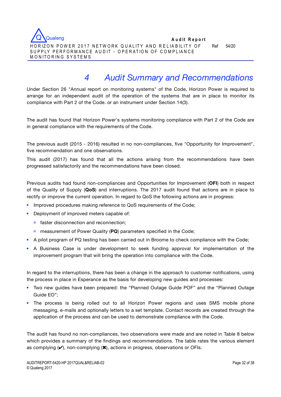**A u d it R eport** H O RIZON POWER 2017 NETWORK QUALITY AND RELIABILITY OF SUPPLY PERFORMANCE AUDIT - OPERATION OF COMPLIANCE M O N ITO R IN G SYSTEM S Ref 54/20 **Qualeng** 

# *4 Audit Summary and Recommendations*

Under Section 26 "Annual report on monitoring systems" of the Code, Horizon Power is required to arrange for an independent audit of the operation of the systems that are in place to monitor its compliance with Part 2 of the Code. or an instrument under Section 14(3).

The audit has found that Horizon Power's systems monitoring compliance with Part 2 of the Code are in general compliance with the requirements of the Code.

The previous audit (2015 - 2016) resulted in no non-compliances, five "Opportunity for Improvement", five recommendation and one observations.

This audit (2017) has found that all the actions arising from the recommendations have been progressed satisfactorily and the recommendations have been closed.

Previous audits had found non-compliances and Opportunities for Improvement (**OFI**) both in respect of the Quality of Supply (**QoS**) and interruptions. The 2017 audit found that actions are in place to rectify or improve the current operation. In regard to QoS the following actions are in progress:

- Improved procedures making reference to QoS requirements of the Code;
- Deployment of improved meters capable of:
	- **▫** faster disconnection and reconnection;
	- **▫** measurement of Power Quality (**PQ**) parameters specified in the Code;
- A pilot program of PQ testing has been carried out in Broome to check compliance with the Code;
- A Business Case is under development to seek funding approval for implementation of the improvement program that will bring the operation into compliance with the Code.

In regard to the interruptions, there has been a change in the approach to customer notifications, using the process in place in Esperance as the basis for developing new guides and processes:

- Two new guides have been prepared: the "Planned Outage Guide POF" and the "Planned Outage Guide EO";
- The process is being rolled out to all Horizon Power regions and uses SMS mobile phone messaging, e-mails and optionally letters to a set template. Contact records are created through the application of the process and can be used to demonstrate compliance with the Code.

The audit has found no non-compliances, two observations were made and are noted in Table 8 below which provides a summary of the findings and recommendations. The table rates the various element as complying  $(V)$ , non-complying  $(X)$ , actions in progress, observations or OFIs.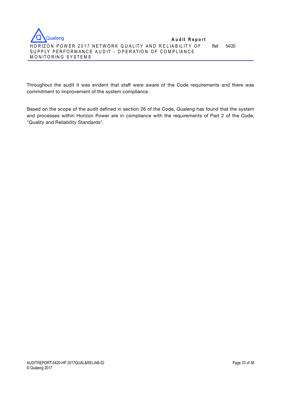

Throughout the audit it was evident that staff were aware of the Code requirements and there was commitment to improvement of the system compliance.

Based on the scope of the audit defined in section 26 of the Code, Qualeng has found that the system and processes within Horizon Power are in compliance with the requirements of Part 2 of the Code, "Quality and Reliability Standards".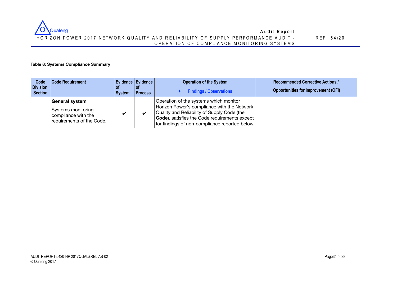

REF 5 4 /2 0

#### **Table 8: Systems Compliance Summary**

| Code                        | <b>Code Requirement</b>                                                                         | Evidence   Evidence   |                       | <b>Operation of the System</b>                                                                                                                                                                                                          | <b>Recommended Corrective Actions /</b>    |
|-----------------------------|-------------------------------------------------------------------------------------------------|-----------------------|-----------------------|-----------------------------------------------------------------------------------------------------------------------------------------------------------------------------------------------------------------------------------------|--------------------------------------------|
| Division,<br><b>Section</b> |                                                                                                 | l of<br><b>System</b> | -ot<br><b>Process</b> | <b>Findings / Observations</b>                                                                                                                                                                                                          | <b>Opportunities for Improvement (OFI)</b> |
|                             | <b>General system</b><br>Systems monitoring<br>compliance with the<br>requirements of the Code. |                       |                       | Operation of the systems which monitor<br>Horizon Power's compliance with the Network<br>Quality and Reliability of Supply Code (the<br>Code), satisfies the Code requirements except<br>for findings of non-compliance reported below. |                                            |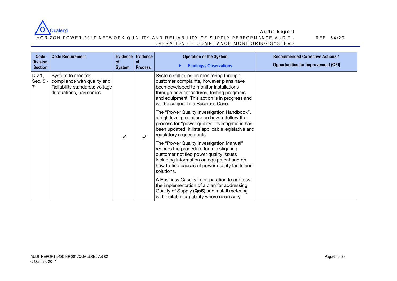

#### H O R IZON POW ER 2017 NETWORK QUALITY AND RELIABILITY OF SUPPLY PERFORMANCE AUDIT -OPERATION OF COMPLIANCE MONITORING SYSTEMS

| Code<br>Division,<br><b>Section</b> | <b>Code Requirement</b>                                                                                        | <b>of</b><br><b>System</b> | Evidence Evidence<br><b>of</b><br><b>Process</b> | <b>Operation of the System</b><br><b>Findings / Observations</b>                                                                                                                                                                                                    | <b>Recommended Corrective Actions /</b><br><b>Opportunities for Improvement (OFI)</b> |
|-------------------------------------|----------------------------------------------------------------------------------------------------------------|----------------------------|--------------------------------------------------|---------------------------------------------------------------------------------------------------------------------------------------------------------------------------------------------------------------------------------------------------------------------|---------------------------------------------------------------------------------------|
| Div $1,$<br>Sec. 5 -                | System to monitor<br>compliance with quality and<br>Reliability standards: voltage<br>fluctuations, harmonics. |                            |                                                  | System still relies on monitoring through<br>customer complaints, however plans have<br>been developed to monitor installations<br>through new procedures, testing programs<br>and equipment. This action is in progress and<br>will be subject to a Business Case. |                                                                                       |
|                                     |                                                                                                                | ✔                          | ✓                                                | The "Power Quality Investigation Handbook",<br>a high level procedure on how to follow the<br>process for "power quality" investigations has<br>been updated. It lists applicable legislative and<br>regulatory requirements.                                       |                                                                                       |
|                                     |                                                                                                                |                            |                                                  | The "Power Quality Investigation Manual"<br>records the procedure for investigating<br>customer notified power quality issues<br>including information on equipment and on<br>how to find causes of power quality faults and<br>solutions.                          |                                                                                       |
|                                     |                                                                                                                |                            |                                                  | A Business Case is in preparation to address<br>the implementation of a plan for addressing<br>Quality of Supply (QoS) and install metering<br>with suitable capability where necessary.                                                                            |                                                                                       |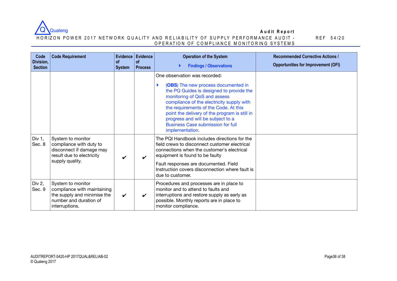

#### H O R IZON POW ER 2017 NETWORK QUALITY AND RELIABILITY OF SUPPLY PERFORMANCE AUDIT -OPERATION OF COMPLIANCE MONITORING SYSTEMS

| Code<br>Division,<br><b>Section</b> | <b>Code Requirement</b>                                                                                                     | <b>of</b><br><b>System</b> | Evidence Evidence<br><b>of</b><br><b>Process</b> | <b>Operation of the System</b><br><b>Findings / Observations</b>                                                                                                                                                                                                                                                                                                                            | <b>Recommended Corrective Actions /</b><br><b>Opportunities for Improvement (OFI)</b> |
|-------------------------------------|-----------------------------------------------------------------------------------------------------------------------------|----------------------------|--------------------------------------------------|---------------------------------------------------------------------------------------------------------------------------------------------------------------------------------------------------------------------------------------------------------------------------------------------------------------------------------------------------------------------------------------------|---------------------------------------------------------------------------------------|
|                                     |                                                                                                                             |                            |                                                  | One observation was recorded:<br>(OBS) The new process documented in<br>the PQ Guides is designed to provide the<br>monitoring of QoS and assess<br>compliance of the electricity supply with<br>the requirements of the Code. At this<br>point the delivery of the program is still in<br>progress and will be subject to a<br><b>Business Case submission for full</b><br>implementation. |                                                                                       |
| Div 1,<br>Sec. 8                    | System to monitor<br>compliance with duty to<br>disconnect if damage may<br>result due to electricity<br>supply quality.    | V                          |                                                  | The PQI Handbook includes directions for the<br>field crews to disconnect customer electrical<br>connections when the customer's electrical<br>equipment is found to be faulty<br>Fault responses are documented. Field<br>Instruction covers disconnection where fault is<br>due to customer.                                                                                              |                                                                                       |
| Div $2,$<br>Sec. 9                  | System to monitor<br>compliance with maintaining<br>the supply and minimise the<br>number and duration of<br>interruptions. | V                          | V                                                | Procedures and processes are in place to<br>monitor and to attend to faults and<br>interruptions and restore supply as early as<br>possible. Monthly reports are in place to<br>monitor compliance.                                                                                                                                                                                         |                                                                                       |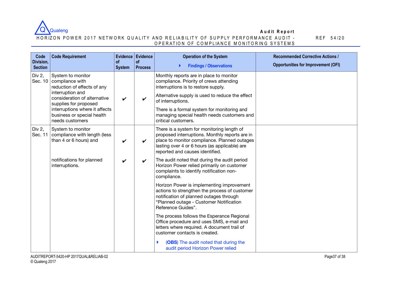

#### H O R IZON POW ER 2017 NETWORK QUALITY AND RELIABILITY OF SUPPLY PERFORMANCE AUDIT -OPERATION OF COMPLIANCE MONITORING SYSTEMS

| Code<br>Division,<br><b>Section</b> | <b>Code Requirement</b>                                                                 | of<br><b>System</b> | Evidence Evidence<br><b>of</b><br><b>Process</b> | <b>Operation of the System</b><br><b>Findings / Observations</b>                                                                                                                                                                 | <b>Recommended Corrective Actions /</b><br><b>Opportunities for Improvement (OFI)</b> |
|-------------------------------------|-----------------------------------------------------------------------------------------|---------------------|--------------------------------------------------|----------------------------------------------------------------------------------------------------------------------------------------------------------------------------------------------------------------------------------|---------------------------------------------------------------------------------------|
| Div 2,<br>Sec. 10                   | System to monitor<br>compliance with<br>reduction of effects of any<br>interruption and |                     |                                                  | Monthly reports are in place to monitor<br>compliance. Priority of crews attending<br>interruptions is to restore supply.                                                                                                        |                                                                                       |
|                                     | consideration of alternative<br>supplies for proposed                                   | ✔                   | ✓                                                | Alternative supply is used to reduce the effect<br>of interruptions.                                                                                                                                                             |                                                                                       |
|                                     | interruptions where it affects<br>business or special health<br>needs customers         |                     |                                                  | There is a formal system for monitoring and<br>managing special health needs customers and<br>critical customers.                                                                                                                |                                                                                       |
| Div 2,<br>Sec. 11                   | System to monitor<br>compliance with length (less<br>than 4 or 6 hours) and             | V                   | V                                                | There is a system for monitoring length of<br>proposed interruptions. Monthly reports are in<br>place to monitor compliance. Planned outages<br>lasting over 4 or 6 hours (as applicable) are<br>reported and causes identified. |                                                                                       |
|                                     | notifications for planned<br>interruptions.                                             | V                   | $\boldsymbol{\nu}$                               | The audit noted that during the audit period<br>Horizon Power relied primarily on customer<br>complaints to identify notification non-<br>compliance.                                                                            |                                                                                       |
|                                     |                                                                                         |                     |                                                  | Horizon Power is implementing improvement<br>actions to strengthen the process of customer<br>notification of planned outages through<br>"Planned outage - Customer Notification<br>Reference Guides".                           |                                                                                       |
|                                     |                                                                                         |                     |                                                  | The process follows the Esperance Regional<br>Office procedure and uses SMS, e-mail and<br>letters where required. A document trail of<br>customer contacts is created.                                                          |                                                                                       |
|                                     |                                                                                         |                     |                                                  | (OBS) The audit noted that during the<br>audit period Horizon Power relied                                                                                                                                                       |                                                                                       |